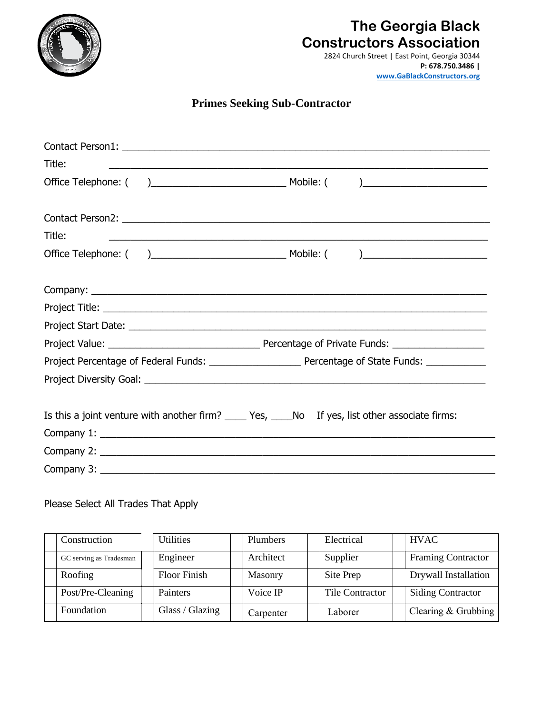

## **The Georgia Black Constructors Association**

2824 Church Street | East Point, Georgia 30344 **[P: 678.750.3486 |](http://www.gablackconstructors.org/)  www.GaBlackConstructors.org**

## **Primes Seeking Sub-Contractor**

| Title:<br>,我们也不能在这里的人,我们也不能在这里的人,我们也不能在这里的人,我们也不能在这里的人,我们也不能在这里的人,我们也不能在这里的人,我们也不能在这里的人,我们也       |  |
|---------------------------------------------------------------------------------------------------|--|
|                                                                                                   |  |
|                                                                                                   |  |
| Title:<br><u> 1989 - Johann Stoff, amerikansk politiker (d. 1989)</u>                             |  |
|                                                                                                   |  |
|                                                                                                   |  |
|                                                                                                   |  |
|                                                                                                   |  |
|                                                                                                   |  |
|                                                                                                   |  |
|                                                                                                   |  |
| Is this a joint venture with another firm? _____ Yes, _____No If yes, list other associate firms: |  |
|                                                                                                   |  |
|                                                                                                   |  |
|                                                                                                   |  |

## Please Select All Trades That Apply

| Construction            | Utilities           | <b>Plumbers</b> | Electrical      | <b>HVAC</b>               |
|-------------------------|---------------------|-----------------|-----------------|---------------------------|
| GC serving as Tradesman | Engineer            | Architect       | Supplier        | <b>Framing Contractor</b> |
| Roofing                 | <b>Floor Finish</b> | <b>Masonry</b>  | Site Prep       | Drywall Installation      |
| Post/Pre-Cleaning       | Painters            | Voice IP        | Tile Contractor | <b>Siding Contractor</b>  |
| Foundation              | Glass / Glazing     | Carpenter       | Laborer         | Clearing & Grubbing       |